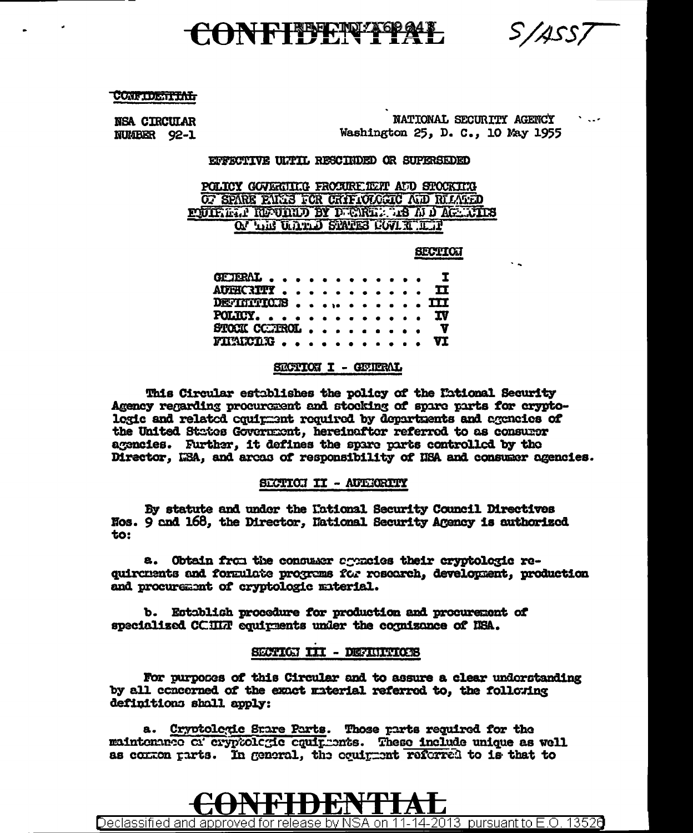S/ASS/

# ONFIDENTIP

**CONFIDENTIAL** 

**NSA CIRCULAR** NUMBER 92-1

NATIONAL SECURITY AGENCY Washington 25, D. C., 10 May 1955

## EFFECTIVE ULTIL RESCIEDED OR SUPERSEDED

POLICY GOVERNING FROCUREIENT AND STOCKING OF SPARE FALLS FOR CRIFICLOGIC ALD RELATED PUIRE. PRODUCT BY DENNIL TRADACTIES ON LIE ULLED STATES COVER LETT

#### **SECTION**

| GETERAL I                                 |  |  |  |  |  |
|-------------------------------------------|--|--|--|--|--|
| AUTHCRITY II                              |  |  |  |  |  |
| DETHITICES III                            |  |  |  |  |  |
| POLICY. IV                                |  |  |  |  |  |
| STOCK CONTROL, $\ldots$ , , , , , , , $V$ |  |  |  |  |  |
| FIRINCING VI                              |  |  |  |  |  |

# SECTION I - GEVERAL

This Circular establishes the policy of the Eational Security Agency regarding procurement and stocking of spare parts for cryptologic and related couimment required by departments and agencies of the United States Government, hereinafter referred to as consumer agencies. Further, it defines the spare parts controlled by the Director, LEA, and areas of responsibility of HEA and consumer agencies.

## SECTION II - AUTHORITY

By statute and under the Kational Security Council Directives Nos. 9 and 168, the Director, Hational Security Agency is authorized to:

a. Obtain from the consumer agencies their cryptologic requircuents and formulate programs for research, development, production and procurement of cryptologic material.

b. Establish procedure for production and procurement of specialized CCHLT equivaents under the cormizance of NSA.

## SECTION III - DEFINITIONS

For purposes of this Circular and to assure a clear undorstanding by all concerned of the exact material referred to, the following definitions shall apply:

a. Cryptologic Srare Parts. Those parts required for the maintenance of cryptologic equipments. These include unique as well as common parts. In general, the coutment referred to is that to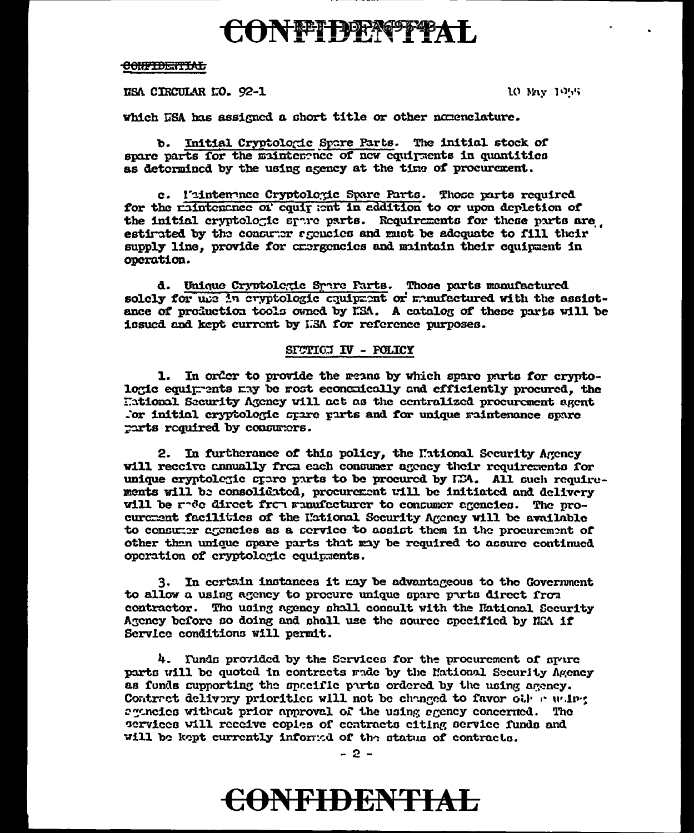# CONFIDENTIAL

#### <del>CONFIDENTIAL</del>

NSA CIRCULAR LO. 92-1

10 May 1955

which USA has assigned a short title or other nomenclature.

b. Initial Cryptologic Spare Parts. The initial stock of spare parts for the maintemented of new equipments in quantities as determined by the using agency at the time of procurement.

e. l'intenance Cryptoloxic Spare Parts. Those parts required for the raintenance of equit ant in eddition to or upon depletion of the initial cryptologic spare parts. Requirements for these parts are estimated by the consumer secucies and must be adoquate to fill their supply line, provide for crergencies and maintain their equipment in operation.

d. Unique Cryptolegie Spare Farts. Those parts manufactured solely for use in eryptologic cauipment or memoratured with the assistance of production tools owned by ESA. A catalog of these parts will be issued and kept current by I.SA for reference purposes.

# SICTICI IV - POLICY

1. In order to provide the reans by which spare parts for cryptolowic equimments may be most economically and efficiently procured. the Hational Security Agency will act as the centralized procurement agent for initial cryptologic spare parts and for unique raintenance spare parts required by consumers.

2. In furtherance of this policy, the Mational Security Agency will receive annually from each consumer agency their requirements for unique cryptologic spare parts to be procured by E34. All such requirements will be consolidated, procurement will be initiated and delivery will be rede direct from manufacturer to concumer agencies. The procurement facilities of the Hational Security Agency will be available to consumer agencies as a service to assist them in the procurement of other than unique spare parts that may be required to assure continued operation of cryptologic equipments.

3. In certain instances it may be advantageous to the Government to allow a using agency to procure unique spare parts direct from contractor. The using agency shall consult with the Hational Security Agency before so doing and shall use the source specified by NGA if Service conditions will permit.

4. Funds provided by the Services for the procurement of spure parts will be quoted in contracts made by the Mational Security Agency as funds supporting the spacific parts ordered by the using agency. Contract delivery priorities will not be changed to favor other waing agencies without prior approval of the using agency concerned. The services will receive copies of contracts eiting service funds and will be kept currently informed of the status of contracts.

# **CONFIDENTIAL**